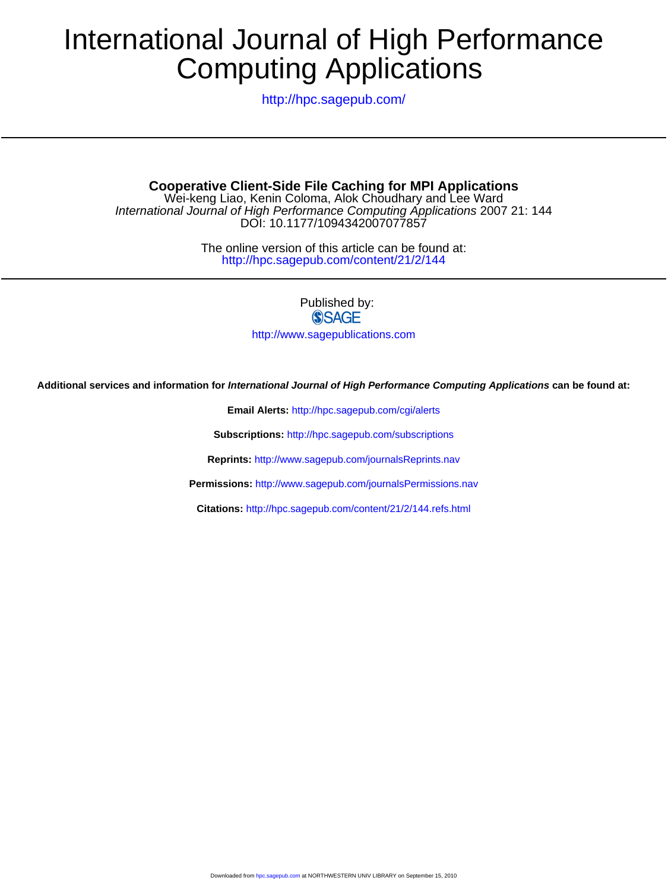# Computing Applications International Journal of High Performance

<http://hpc.sagepub.com/>

DOI: 10.1177/1094342007077857 International Journal of High Performance Computing Applications 2007 21: 144 Wei-keng Liao, Kenin Coloma, Alok Choudhary and Lee Ward **Cooperative Client-Side File Caching for MPI Applications**

> <http://hpc.sagepub.com/content/21/2/144> The online version of this article can be found at:

> > Published by:<br>
> > SAGE <http://www.sagepublications.com>

**Additional services and information for International Journal of High Performance Computing Applications can be found at:**

**Email Alerts:** <http://hpc.sagepub.com/cgi/alerts>

**Subscriptions:** <http://hpc.sagepub.com/subscriptions>

**Reprints:** <http://www.sagepub.com/journalsReprints.nav>

**Permissions:** <http://www.sagepub.com/journalsPermissions.nav>

**Citations:** <http://hpc.sagepub.com/content/21/2/144.refs.html>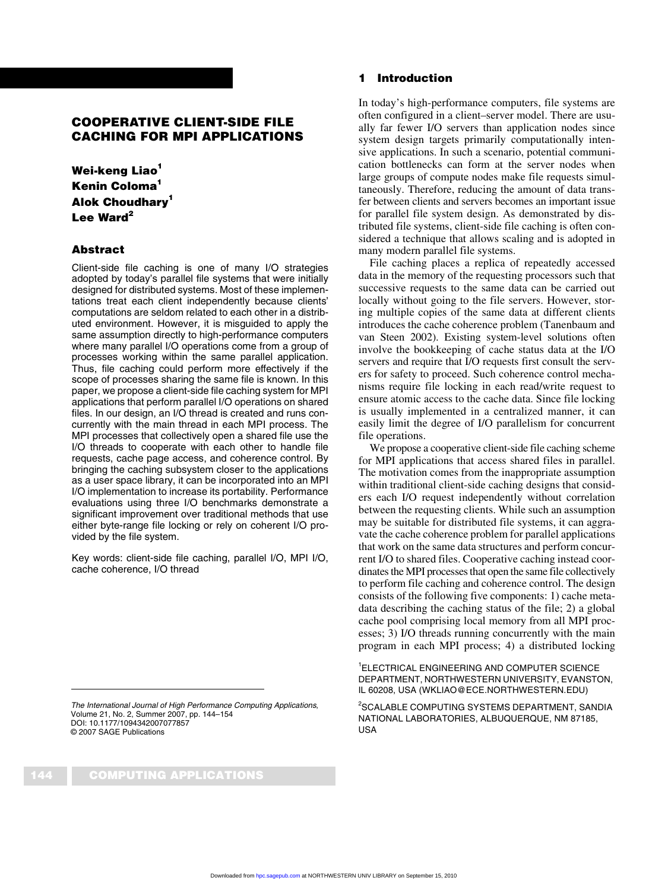# **COOPERATIVE CLIENT-SIDE FILE CACHING FOR MPI APPLICATIONS**

**Wei-keng Liao1 Kenin Coloma1 Alok Choudhary<sup>1</sup>** Lee Ward<sup>2</sup>

# **Abstract**

Client-side file caching is one of many I/O strategies adopted by today's parallel file systems that were initially designed for distributed systems. Most of these implementations treat each client independently because clients' computations are seldom related to each other in a distributed environment. However, it is misguided to apply the same assumption directly to high-performance computers where many parallel I/O operations come from a group of processes working within the same parallel application. Thus, file caching could perform more effectively if the scope of processes sharing the same file is known. In this paper, we propose a client-side file caching system for MPI applications that perform parallel I/O operations on shared files. In our design, an I/O thread is created and runs concurrently with the main thread in each MPI process. The MPI processes that collectively open a shared file use the I/O threads to cooperate with each other to handle file requests, cache page access, and coherence control. By bringing the caching subsystem closer to the applications as a user space library, it can be incorporated into an MPI I/O implementation to increase its portability. Performance evaluations using three I/O benchmarks demonstrate a significant improvement over traditional methods that use either byte-range file locking or rely on coherent I/O provided by the file system.

Key words: client-side file caching, parallel I/O, MPI I/O, cache coherence, I/O thread

*The International Journal of High Performance Computing Applications*, Volume 21, No. 2, Summer 2007, pp. 144–154 DOI: 10.1177/1094342007077857 © 2007 SAGE Publications

# **1 Introduction**

In today's high-performance computers, file systems are often configured in a client–server model. There are usually far fewer I/O servers than application nodes since system design targets primarily computationally intensive applications. In such a scenario, potential communication bottlenecks can form at the server nodes when large groups of compute nodes make file requests simultaneously. Therefore, reducing the amount of data transfer between clients and servers becomes an important issue for parallel file system design. As demonstrated by distributed file systems, client-side file caching is often considered a technique that allows scaling and is adopted in many modern parallel file systems.

File caching places a replica of repeatedly accessed data in the memory of the requesting processors such that successive requests to the same data can be carried out locally without going to the file servers. However, storing multiple copies of the same data at different clients introduces the cache coherence problem (Tanenbaum and van Steen 2002). Existing system-level solutions often involve the bookkeeping of cache status data at the I/O servers and require that I/O requests first consult the servers for safety to proceed. Such coherence control mechanisms require file locking in each read/write request to ensure atomic access to the cache data. Since file locking is usually implemented in a centralized manner, it can easily limit the degree of I/O parallelism for concurrent file operations.

We propose a cooperative client-side file caching scheme for MPI applications that access shared files in parallel. The motivation comes from the inappropriate assumption within traditional client-side caching designs that considers each I/O request independently without correlation between the requesting clients. While such an assumption may be suitable for distributed file systems, it can aggravate the cache coherence problem for parallel applications that work on the same data structures and perform concurrent I/O to shared files. Cooperative caching instead coordinates the MPI processes that open the same file collectively to perform file caching and coherence control. The design consists of the following five components: 1) cache metadata describing the caching status of the file; 2) a global cache pool comprising local memory from all MPI processes; 3) I/O threads running concurrently with the main program in each MPI process; 4) a distributed locking

1 ELECTRICAL ENGINEERING AND COMPUTER SCIENCE DEPARTMENT, NORTHWESTERN UNIVERSITY, EVANSTON, IL 60208, USA (WKLIAO@ECE.NORTHWESTERN.EDU)

2 SCALABLE COMPUTING SYSTEMS DEPARTMENT, SANDIA NATIONAL LABORATORIES, ALBUQUERQUE, NM 87185, USA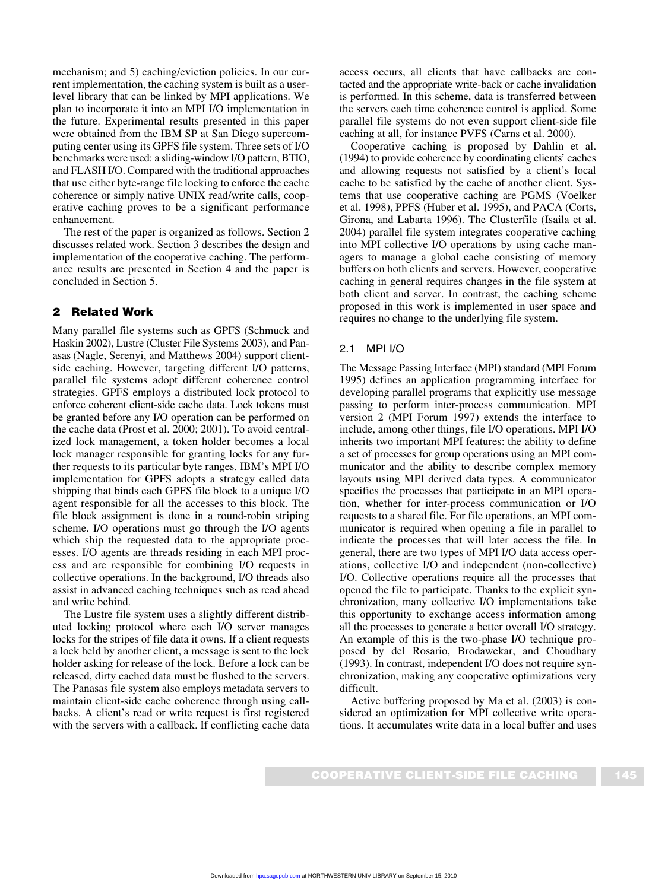mechanism; and 5) caching/eviction policies. In our current implementation, the caching system is built as a userlevel library that can be linked by MPI applications. We plan to incorporate it into an MPI I/O implementation in the future. Experimental results presented in this paper were obtained from the IBM SP at San Diego supercomputing center using its GPFS file system. Three sets of I/O benchmarks were used: a sliding-window I/O pattern, BTIO, and FLASH I/O. Compared with the traditional approaches that use either byte-range file locking to enforce the cache coherence or simply native UNIX read/write calls, cooperative caching proves to be a significant performance enhancement.

The rest of the paper is organized as follows. Section 2 discusses related work. Section 3 describes the design and implementation of the cooperative caching. The performance results are presented in Section 4 and the paper is concluded in Section 5.

# **2 Related Work**

Many parallel file systems such as GPFS (Schmuck and Haskin 2002), Lustre (Cluster File Systems 2003), and Panasas (Nagle, Serenyi, and Matthews 2004) support clientside caching. However, targeting different I/O patterns, parallel file systems adopt different coherence control strategies. GPFS employs a distributed lock protocol to enforce coherent client-side cache data. Lock tokens must be granted before any I/O operation can be performed on the cache data (Prost et al. 2000; 2001). To avoid centralized lock management, a token holder becomes a local lock manager responsible for granting locks for any further requests to its particular byte ranges. IBM's MPI I/O implementation for GPFS adopts a strategy called data shipping that binds each GPFS file block to a unique I/O agent responsible for all the accesses to this block. The file block assignment is done in a round-robin striping scheme. I/O operations must go through the I/O agents which ship the requested data to the appropriate processes. I/O agents are threads residing in each MPI process and are responsible for combining I/O requests in collective operations. In the background, I/O threads also assist in advanced caching techniques such as read ahead and write behind.

The Lustre file system uses a slightly different distributed locking protocol where each I/O server manages locks for the stripes of file data it owns. If a client requests a lock held by another client, a message is sent to the lock holder asking for release of the lock. Before a lock can be released, dirty cached data must be flushed to the servers. The Panasas file system also employs metadata servers to maintain client-side cache coherence through using callbacks. A client's read or write request is first registered with the servers with a callback. If conflicting cache data access occurs, all clients that have callbacks are contacted and the appropriate write-back or cache invalidation is performed. In this scheme, data is transferred between the servers each time coherence control is applied. Some parallel file systems do not even support client-side file caching at all, for instance PVFS (Carns et al. 2000).

Cooperative caching is proposed by Dahlin et al. (1994) to provide coherence by coordinating clients' caches and allowing requests not satisfied by a client's local cache to be satisfied by the cache of another client. Systems that use cooperative caching are PGMS (Voelker et al. 1998), PPFS (Huber et al. 1995), and PACA (Corts, Girona, and Labarta 1996). The Clusterfile (Isaila et al. 2004) parallel file system integrates cooperative caching into MPI collective I/O operations by using cache managers to manage a global cache consisting of memory buffers on both clients and servers. However, cooperative caching in general requires changes in the file system at both client and server. In contrast, the caching scheme proposed in this work is implemented in user space and requires no change to the underlying file system.

# 2.1 MPI I/O

The Message Passing Interface (MPI) standard (MPI Forum 1995) defines an application programming interface for developing parallel programs that explicitly use message passing to perform inter-process communication. MPI version 2 (MPI Forum 1997) extends the interface to include, among other things, file I/O operations. MPI I/O inherits two important MPI features: the ability to define a set of processes for group operations using an MPI communicator and the ability to describe complex memory layouts using MPI derived data types. A communicator specifies the processes that participate in an MPI operation, whether for inter-process communication or I/O requests to a shared file. For file operations, an MPI communicator is required when opening a file in parallel to indicate the processes that will later access the file. In general, there are two types of MPI I/O data access operations, collective I/O and independent (non-collective) I/O. Collective operations require all the processes that opened the file to participate. Thanks to the explicit synchronization, many collective I/O implementations take this opportunity to exchange access information among all the processes to generate a better overall I/O strategy. An example of this is the two-phase I/O technique proposed by del Rosario, Brodawekar, and Choudhary (1993). In contrast, independent I/O does not require synchronization, making any cooperative optimizations very difficult.

Active buffering proposed by Ma et al. (2003) is considered an optimization for MPI collective write operations. It accumulates write data in a local buffer and uses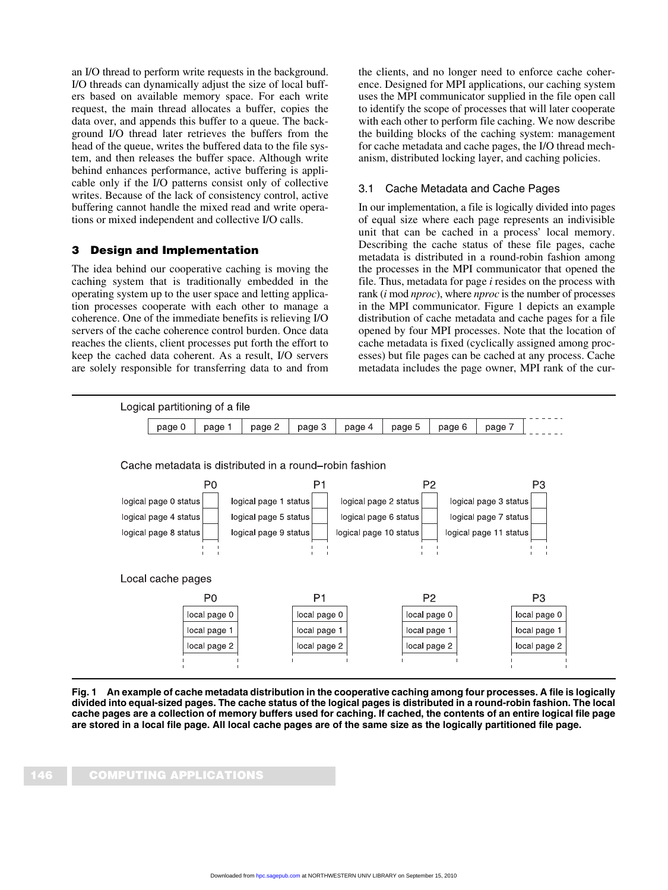an I/O thread to perform write requests in the background. I/O threads can dynamically adjust the size of local buffers based on available memory space. For each write request, the main thread allocates a buffer, copies the data over, and appends this buffer to a queue. The background I/O thread later retrieves the buffers from the head of the queue, writes the buffered data to the file system, and then releases the buffer space. Although write behind enhances performance, active buffering is applicable only if the I/O patterns consist only of collective writes. Because of the lack of consistency control, active buffering cannot handle the mixed read and write operations or mixed independent and collective I/O calls.

# **3 Design and Implementation**

The idea behind our cooperative caching is moving the caching system that is traditionally embedded in the operating system up to the user space and letting application processes cooperate with each other to manage a coherence. One of the immediate benefits is relieving I/O servers of the cache coherence control burden. Once data reaches the clients, client processes put forth the effort to keep the cached data coherent. As a result, I/O servers are solely responsible for transferring data to and from the clients, and no longer need to enforce cache coherence. Designed for MPI applications, our caching system uses the MPI communicator supplied in the file open call to identify the scope of processes that will later cooperate with each other to perform file caching. We now describe the building blocks of the caching system: management for cache metadata and cache pages, the I/O thread mechanism, distributed locking layer, and caching policies.

# 3.1 Cache Metadata and Cache Pages

In our implementation, a file is logically divided into pages of equal size where each page represents an indivisible unit that can be cached in a process' local memory. Describing the cache status of these file pages, cache metadata is distributed in a round-robin fashion among the processes in the MPI communicator that opened the file. Thus, metadata for page *i* resides on the process with rank (*i* mod *nproc*), where *nproc* is the number of processes in the MPI communicator. Figure 1 depicts an example distribution of cache metadata and cache pages for a file opened by four MPI processes. Note that the location of cache metadata is fixed (cyclically assigned among processes) but file pages can be cached at any process. Cache metadata includes the page owner, MPI rank of the cur-



**Fig. 1 An example of cache metadata distribution in the cooperative caching among four processes. A file is logically divided into equal-sized pages. The cache status of the logical pages is distributed in a round-robin fashion. The local cache pages are a collection of memory buffers used for caching. If cached, the contents of an entire logical file page are stored in a local file page. All local cache pages are of the same size as the logically partitioned file page.**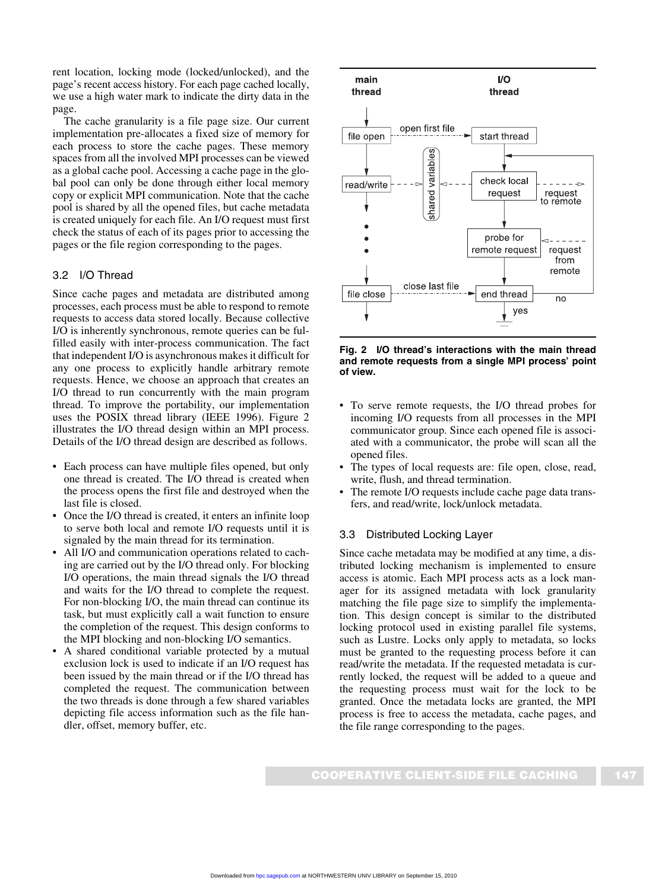rent location, locking mode (locked/unlocked), and the page's recent access history. For each page cached locally, we use a high water mark to indicate the dirty data in the page.

The cache granularity is a file page size. Our current implementation pre-allocates a fixed size of memory for each process to store the cache pages. These memory spaces from all the involved MPI processes can be viewed as a global cache pool. Accessing a cache page in the global pool can only be done through either local memory copy or explicit MPI communication. Note that the cache pool is shared by all the opened files, but cache metadata is created uniquely for each file. An I/O request must first check the status of each of its pages prior to accessing the pages or the file region corresponding to the pages.

#### 3.2 I/O Thread

Since cache pages and metadata are distributed among processes, each process must be able to respond to remote requests to access data stored locally. Because collective I/O is inherently synchronous, remote queries can be fulfilled easily with inter-process communication. The fact that independent I/O is asynchronous makes it difficult for any one process to explicitly handle arbitrary remote requests. Hence, we choose an approach that creates an I/O thread to run concurrently with the main program thread. To improve the portability, our implementation uses the POSIX thread library (IEEE 1996). Figure 2 illustrates the I/O thread design within an MPI process. Details of the I/O thread design are described as follows.

- Each process can have multiple files opened, but only one thread is created. The I/O thread is created when the process opens the first file and destroyed when the last file is closed.
- Once the I/O thread is created, it enters an infinite loop to serve both local and remote I/O requests until it is signaled by the main thread for its termination.
- All I/O and communication operations related to caching are carried out by the I/O thread only. For blocking I/O operations, the main thread signals the I/O thread and waits for the I/O thread to complete the request. For non-blocking I/O, the main thread can continue its task, but must explicitly call a wait function to ensure the completion of the request. This design conforms to the MPI blocking and non-blocking I/O semantics.
- A shared conditional variable protected by a mutual exclusion lock is used to indicate if an I/O request has been issued by the main thread or if the I/O thread has completed the request. The communication between the two threads is done through a few shared variables depicting file access information such as the file handler, offset, memory buffer, etc.



**Fig. 2 I/O thread's interactions with the main thread and remote requests from a single MPI process' point of view.**

- To serve remote requests, the I/O thread probes for incoming I/O requests from all processes in the MPI communicator group. Since each opened file is associated with a communicator, the probe will scan all the opened files.
- The types of local requests are: file open, close, read, write, flush, and thread termination.
- The remote I/O requests include cache page data transfers, and read/write, lock/unlock metadata.

# 3.3 Distributed Locking Layer

Since cache metadata may be modified at any time, a distributed locking mechanism is implemented to ensure access is atomic. Each MPI process acts as a lock manager for its assigned metadata with lock granularity matching the file page size to simplify the implementation. This design concept is similar to the distributed locking protocol used in existing parallel file systems, such as Lustre. Locks only apply to metadata, so locks must be granted to the requesting process before it can read/write the metadata. If the requested metadata is currently locked, the request will be added to a queue and the requesting process must wait for the lock to be granted. Once the metadata locks are granted, the MPI process is free to access the metadata, cache pages, and the file range corresponding to the pages.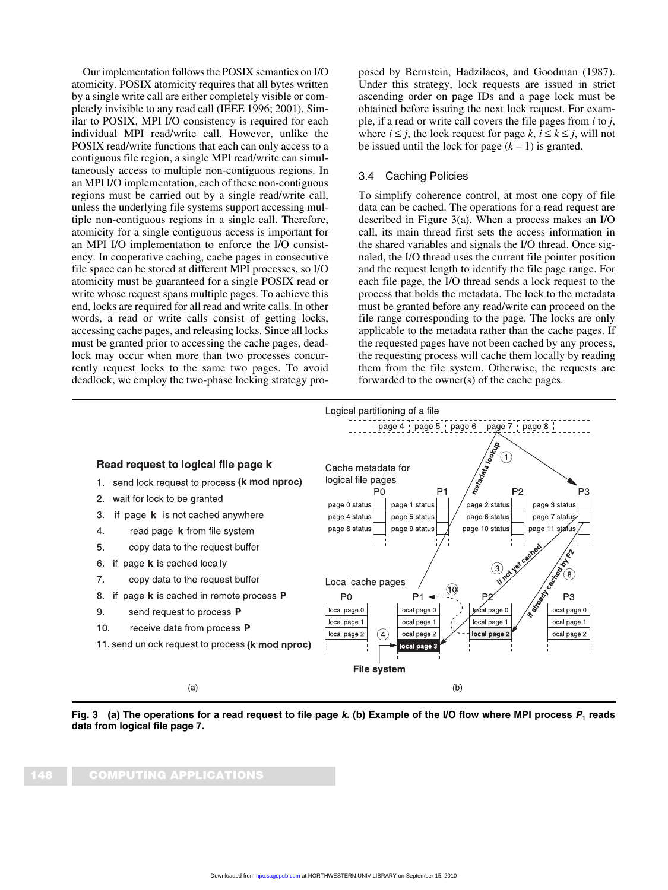Our implementation follows the POSIX semantics on I/O atomicity. POSIX atomicity requires that all bytes written by a single write call are either completely visible or completely invisible to any read call (IEEE 1996; 2001). Similar to POSIX, MPI I/O consistency is required for each individual MPI read/write call. However, unlike the POSIX read/write functions that each can only access to a contiguous file region, a single MPI read/write can simultaneously access to multiple non-contiguous regions. In an MPI I/O implementation, each of these non-contiguous regions must be carried out by a single read/write call, unless the underlying file systems support accessing multiple non-contiguous regions in a single call. Therefore, atomicity for a single contiguous access is important for an MPI I/O implementation to enforce the I/O consistency. In cooperative caching, cache pages in consecutive file space can be stored at different MPI processes, so I/O atomicity must be guaranteed for a single POSIX read or write whose request spans multiple pages. To achieve this end, locks are required for all read and write calls. In other words, a read or write calls consist of getting locks, accessing cache pages, and releasing locks. Since all locks must be granted prior to accessing the cache pages, deadlock may occur when more than two processes concurrently request locks to the same two pages. To avoid deadlock, we employ the two-phase locking strategy proposed by Bernstein, Hadzilacos, and Goodman (1987). Under this strategy, lock requests are issued in strict ascending order on page IDs and a page lock must be obtained before issuing the next lock request. For example, if a read or write call covers the file pages from *i* to *j*, where  $i \leq j$ , the lock request for page  $k, i \leq k \leq j$ , will not be issued until the lock for page  $(k - 1)$  is granted.

#### 3.4 Caching Policies

To simplify coherence control, at most one copy of file data can be cached. The operations for a read request are described in Figure 3(a). When a process makes an I/O call, its main thread first sets the access information in the shared variables and signals the I/O thread. Once signaled, the I/O thread uses the current file pointer position and the request length to identify the file page range. For each file page, the I/O thread sends a lock request to the process that holds the metadata. The lock to the metadata must be granted before any read/write can proceed on the file range corresponding to the page. The locks are only applicable to the metadata rather than the cache pages. If the requested pages have not been cached by any process, the requesting process will cache them locally by reading them from the file system. Otherwise, the requests are forwarded to the owner(s) of the cache pages.



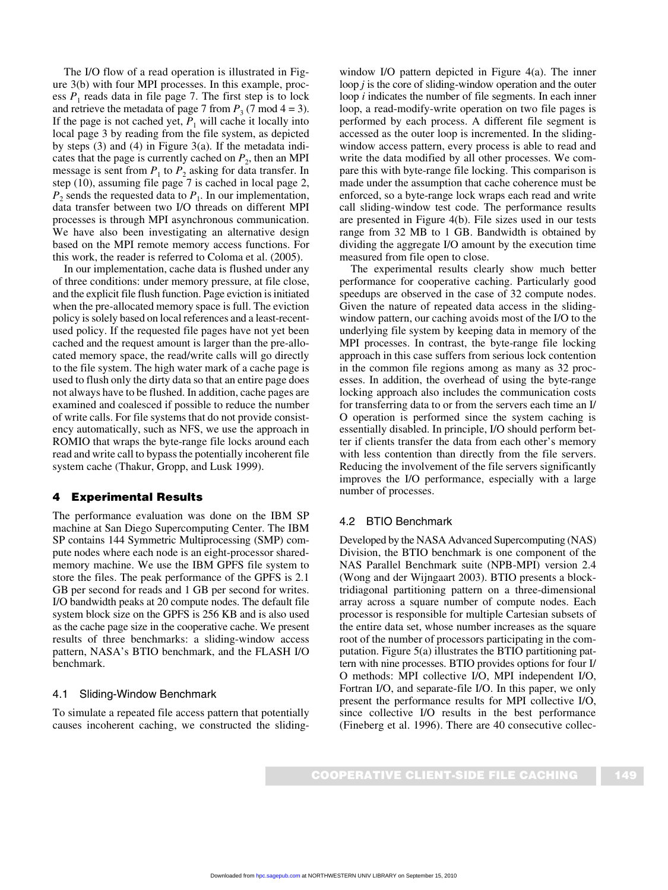The I/O flow of a read operation is illustrated in Figure 3(b) with four MPI processes. In this example, process  $P_1$  reads data in file page 7. The first step is to lock and retrieve the metadata of page 7 from  $P_3$  (7 mod 4 = 3). If the page is not cached yet,  $P_1$  will cache it locally into local page 3 by reading from the file system, as depicted by steps (3) and (4) in Figure 3(a). If the metadata indicates that the page is currently cached on  $P_2$ , then an MPI message is sent from  $P_1$  to  $P_2$  asking for data transfer. In step (10), assuming file page 7 is cached in local page 2,  $P_2$  sends the requested data to  $P_1$ . In our implementation, data transfer between two I/O threads on different MPI processes is through MPI asynchronous communication. We have also been investigating an alternative design based on the MPI remote memory access functions. For this work, the reader is referred to Coloma et al. (2005).

In our implementation, cache data is flushed under any of three conditions: under memory pressure, at file close, and the explicit file flush function. Page eviction is initiated when the pre-allocated memory space is full. The eviction policy is solely based on local references and a least-recentused policy. If the requested file pages have not yet been cached and the request amount is larger than the pre-allocated memory space, the read/write calls will go directly to the file system. The high water mark of a cache page is used to flush only the dirty data so that an entire page does not always have to be flushed. In addition, cache pages are examined and coalesced if possible to reduce the number of write calls. For file systems that do not provide consistency automatically, such as NFS, we use the approach in ROMIO that wraps the byte-range file locks around each read and write call to bypass the potentially incoherent file system cache (Thakur, Gropp, and Lusk 1999).

# **4 Experimental Results**

The performance evaluation was done on the IBM SP machine at San Diego Supercomputing Center. The IBM SP contains 144 Symmetric Multiprocessing (SMP) compute nodes where each node is an eight-processor sharedmemory machine. We use the IBM GPFS file system to store the files. The peak performance of the GPFS is 2.1 GB per second for reads and 1 GB per second for writes. I/O bandwidth peaks at 20 compute nodes. The default file system block size on the GPFS is 256 KB and is also used as the cache page size in the cooperative cache. We present results of three benchmarks: a sliding-window access pattern, NASA's BTIO benchmark, and the FLASH I/O benchmark.

#### 4.1 Sliding-Window Benchmark

To simulate a repeated file access pattern that potentially causes incoherent caching, we constructed the sliding-

window I/O pattern depicted in Figure 4(a). The inner loop *j* is the core of sliding-window operation and the outer loop *i* indicates the number of file segments. In each inner loop, a read-modify-write operation on two file pages is performed by each process. A different file segment is accessed as the outer loop is incremented. In the slidingwindow access pattern, every process is able to read and write the data modified by all other processes. We compare this with byte-range file locking. This comparison is made under the assumption that cache coherence must be enforced, so a byte-range lock wraps each read and write call sliding-window test code. The performance results are presented in Figure 4(b). File sizes used in our tests range from 32 MB to 1 GB. Bandwidth is obtained by dividing the aggregate I/O amount by the execution time measured from file open to close.

The experimental results clearly show much better performance for cooperative caching. Particularly good speedups are observed in the case of 32 compute nodes. Given the nature of repeated data access in the slidingwindow pattern, our caching avoids most of the I/O to the underlying file system by keeping data in memory of the MPI processes. In contrast, the byte-range file locking approach in this case suffers from serious lock contention in the common file regions among as many as 32 processes. In addition, the overhead of using the byte-range locking approach also includes the communication costs for transferring data to or from the servers each time an I/ O operation is performed since the system caching is essentially disabled. In principle, I/O should perform better if clients transfer the data from each other's memory with less contention than directly from the file servers. Reducing the involvement of the file servers significantly improves the I/O performance, especially with a large number of processes.

#### 4.2 BTIO Benchmark

Developed by the NASA Advanced Supercomputing (NAS) Division, the BTIO benchmark is one component of the NAS Parallel Benchmark suite (NPB-MPI) version 2.4 (Wong and der Wijngaart 2003). BTIO presents a blocktridiagonal partitioning pattern on a three-dimensional array across a square number of compute nodes. Each processor is responsible for multiple Cartesian subsets of the entire data set, whose number increases as the square root of the number of processors participating in the computation. Figure 5(a) illustrates the BTIO partitioning pattern with nine processes. BTIO provides options for four I/ O methods: MPI collective I/O, MPI independent I/O, Fortran I/O, and separate-file I/O. In this paper, we only present the performance results for MPI collective I/O, since collective I/O results in the best performance (Fineberg et al. 1996). There are 40 consecutive collec-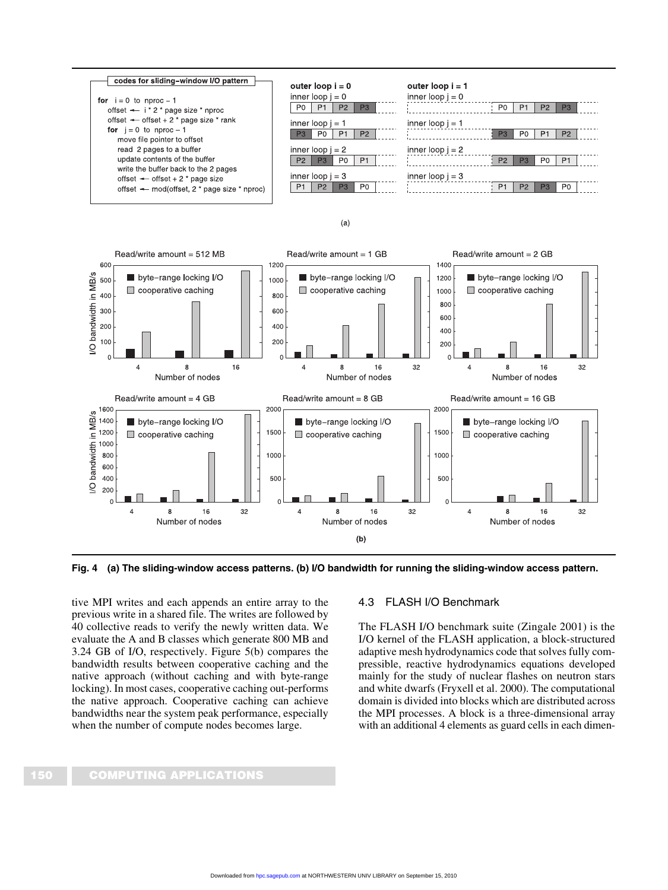

 $(b)$ 

**Fig. 4 (a) The sliding-window access patterns. (b) I/O bandwidth for running the sliding-window access pattern.**

tive MPI writes and each appends an entire array to the previous write in a shared file. The writes are followed by 40 collective reads to verify the newly written data. We evaluate the A and B classes which generate 800 MB and 3.24 GB of I/O, respectively. Figure 5(b) compares the bandwidth results between cooperative caching and the native approach (without caching and with byte-range locking). In most cases, cooperative caching out-performs the native approach. Cooperative caching can achieve bandwidths near the system peak performance, especially when the number of compute nodes becomes large.

# 4.3 FLASH I/O Benchmark

The FLASH I/O benchmark suite (Zingale 2001) is the I/O kernel of the FLASH application, a block-structured adaptive mesh hydrodynamics code that solves fully compressible, reactive hydrodynamics equations developed mainly for the study of nuclear flashes on neutron stars and white dwarfs (Fryxell et al. 2000). The computational domain is divided into blocks which are distributed across the MPI processes. A block is a three-dimensional array with an additional 4 elements as guard cells in each dimen-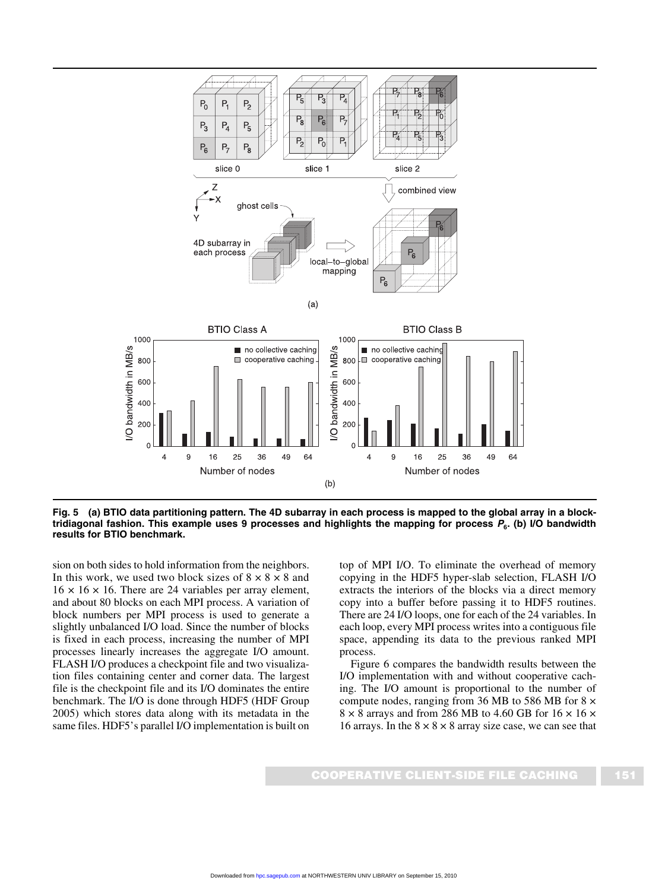

**Fig. 5 (a) BTIO data partitioning pattern. The 4D subarray in each process is mapped to the global array in a blocktridiagonal fashion. This example uses 9 processes and highlights the mapping for process** *P***6. (b) I/O bandwidth results for BTIO benchmark.**

sion on both sides to hold information from the neighbors. In this work, we used two block sizes of  $8 \times 8 \times 8$  and  $16 \times 16 \times 16$ . There are 24 variables per array element, and about 80 blocks on each MPI process. A variation of block numbers per MPI process is used to generate a slightly unbalanced I/O load. Since the number of blocks is fixed in each process, increasing the number of MPI processes linearly increases the aggregate I/O amount. FLASH I/O produces a checkpoint file and two visualization files containing center and corner data. The largest file is the checkpoint file and its I/O dominates the entire benchmark. The I/O is done through HDF5 (HDF Group 2005) which stores data along with its metadata in the same files. HDF5's parallel I/O implementation is built on

top of MPI I/O. To eliminate the overhead of memory copying in the HDF5 hyper-slab selection, FLASH I/O extracts the interiors of the blocks via a direct memory copy into a buffer before passing it to HDF5 routines. There are 24 I/O loops, one for each of the 24 variables. In each loop, every MPI process writes into a contiguous file space, appending its data to the previous ranked MPI process.

Figure 6 compares the bandwidth results between the I/O implementation with and without cooperative caching. The I/O amount is proportional to the number of compute nodes, ranging from 36 MB to 586 MB for 8 ×  $8 \times 8$  arrays and from 286 MB to 4.60 GB for 16  $\times$  16  $\times$ 16 arrays. In the  $8 \times 8 \times 8$  array size case, we can see that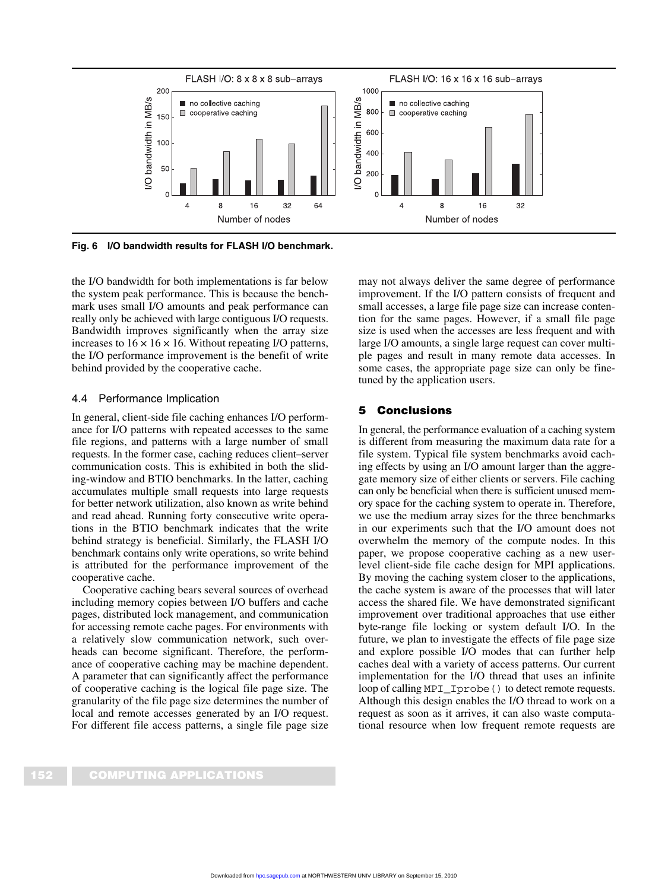

**Fig. 6 I/O bandwidth results for FLASH I/O benchmark.**

the I/O bandwidth for both implementations is far below the system peak performance. This is because the benchmark uses small I/O amounts and peak performance can really only be achieved with large contiguous I/O requests. Bandwidth improves significantly when the array size increases to  $16 \times 16 \times 16$ . Without repeating I/O patterns, the I/O performance improvement is the benefit of write behind provided by the cooperative cache.

#### 4.4 Performance Implication

In general, client-side file caching enhances I/O performance for I/O patterns with repeated accesses to the same file regions, and patterns with a large number of small requests. In the former case, caching reduces client–server communication costs. This is exhibited in both the sliding-window and BTIO benchmarks. In the latter, caching accumulates multiple small requests into large requests for better network utilization, also known as write behind and read ahead. Running forty consecutive write operations in the BTIO benchmark indicates that the write behind strategy is beneficial. Similarly, the FLASH I/O benchmark contains only write operations, so write behind is attributed for the performance improvement of the cooperative cache.

Cooperative caching bears several sources of overhead including memory copies between I/O buffers and cache pages, distributed lock management, and communication for accessing remote cache pages. For environments with a relatively slow communication network, such overheads can become significant. Therefore, the performance of cooperative caching may be machine dependent. A parameter that can significantly affect the performance of cooperative caching is the logical file page size. The granularity of the file page size determines the number of local and remote accesses generated by an I/O request. For different file access patterns, a single file page size may not always deliver the same degree of performance improvement. If the I/O pattern consists of frequent and small accesses, a large file page size can increase contention for the same pages. However, if a small file page size is used when the accesses are less frequent and with large I/O amounts, a single large request can cover multiple pages and result in many remote data accesses. In some cases, the appropriate page size can only be finetuned by the application users.

# **5 Conclusions**

In general, the performance evaluation of a caching system is different from measuring the maximum data rate for a file system. Typical file system benchmarks avoid caching effects by using an I/O amount larger than the aggregate memory size of either clients or servers. File caching can only be beneficial when there is sufficient unused memory space for the caching system to operate in. Therefore, we use the medium array sizes for the three benchmarks in our experiments such that the I/O amount does not overwhelm the memory of the compute nodes. In this paper, we propose cooperative caching as a new userlevel client-side file cache design for MPI applications. By moving the caching system closer to the applications, the cache system is aware of the processes that will later access the shared file. We have demonstrated significant improvement over traditional approaches that use either byte-range file locking or system default I/O. In the future, we plan to investigate the effects of file page size and explore possible I/O modes that can further help caches deal with a variety of access patterns. Our current implementation for the I/O thread that uses an infinite loop of calling MPI\_Iprobe () to detect remote requests. Although this design enables the I/O thread to work on a request as soon as it arrives, it can also waste computational resource when low frequent remote requests are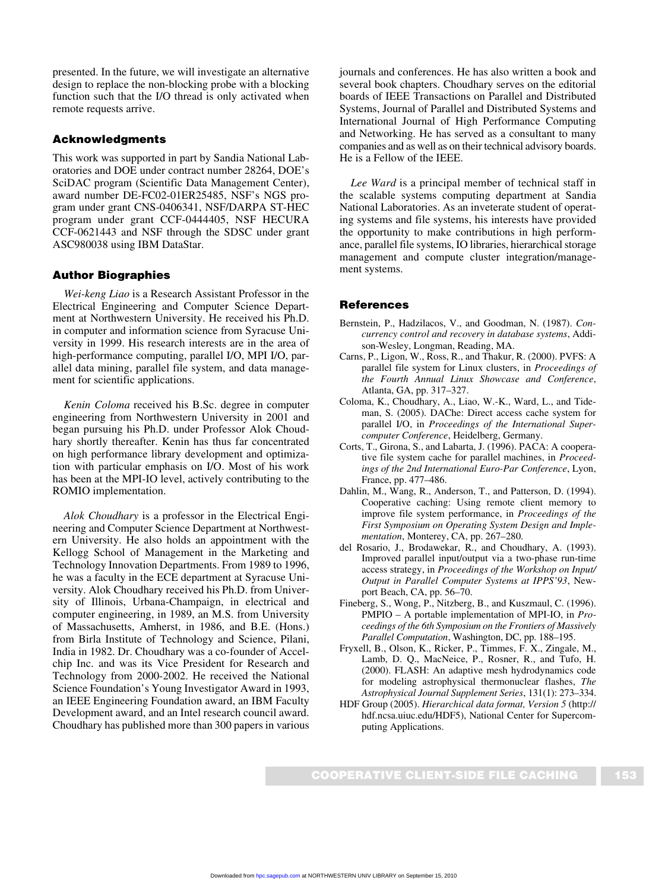presented. In the future, we will investigate an alternative design to replace the non-blocking probe with a blocking function such that the I/O thread is only activated when remote requests arrive.

### **Acknowledgments**

This work was supported in part by Sandia National Laboratories and DOE under contract number 28264, DOE's SciDAC program (Scientific Data Management Center), award number DE-FC02-01ER25485, NSF's NGS program under grant CNS-0406341, NSF/DARPA ST-HEC program under grant CCF-0444405, NSF HECURA CCF-0621443 and NSF through the SDSC under grant ASC980038 using IBM DataStar.

#### **Author Biographies**

*Wei-keng Liao* is a Research Assistant Professor in the Electrical Engineering and Computer Science Department at Northwestern University. He received his Ph.D. in computer and information science from Syracuse University in 1999. His research interests are in the area of high-performance computing, parallel I/O, MPI I/O, parallel data mining, parallel file system, and data management for scientific applications.

*Kenin Coloma* received his B.Sc. degree in computer engineering from Northwestern University in 2001 and began pursuing his Ph.D. under Professor Alok Choudhary shortly thereafter. Kenin has thus far concentrated on high performance library development and optimization with particular emphasis on I/O. Most of his work has been at the MPI-IO level, actively contributing to the ROMIO implementation.

*Alok Choudhary* is a professor in the Electrical Engineering and Computer Science Department at Northwestern University. He also holds an appointment with the Kellogg School of Management in the Marketing and Technology Innovation Departments. From 1989 to 1996, he was a faculty in the ECE department at Syracuse University. Alok Choudhary received his Ph.D. from University of Illinois, Urbana-Champaign, in electrical and computer engineering, in 1989, an M.S. from University of Massachusetts, Amherst, in 1986, and B.E. (Hons.) from Birla Institute of Technology and Science, Pilani, India in 1982. Dr. Choudhary was a co-founder of Accelchip Inc. and was its Vice President for Research and Technology from 2000-2002. He received the National Science Foundation's Young Investigator Award in 1993, an IEEE Engineering Foundation award, an IBM Faculty Development award, and an Intel research council award. Choudhary has published more than 300 papers in various journals and conferences. He has also written a book and several book chapters. Choudhary serves on the editorial boards of IEEE Transactions on Parallel and Distributed Systems, Journal of Parallel and Distributed Systems and International Journal of High Performance Computing and Networking. He has served as a consultant to many companies and as well as on their technical advisory boards. He is a Fellow of the IEEE.

*Lee Ward* is a principal member of technical staff in the scalable systems computing department at Sandia National Laboratories. As an inveterate student of operating systems and file systems, his interests have provided the opportunity to make contributions in high performance, parallel file systems, IO libraries, hierarchical storage management and compute cluster integration/management systems.

#### **References**

- Bernstein, P., Hadzilacos, V., and Goodman, N. (1987). *Concurrency control and recovery in database systems*, Addison-Wesley, Longman, Reading, MA.
- Carns, P., Ligon, W., Ross, R., and Thakur, R. (2000). PVFS: A parallel file system for Linux clusters, in *Proceedings of the Fourth Annual Linux Showcase and Conference*, Atlanta, GA, pp. 317–327.
- Coloma, K., Choudhary, A., Liao, W.-K., Ward, L., and Tideman, S. (2005). DAChe: Direct access cache system for parallel I/O, in *Proceedings of the International Supercomputer Conference*, Heidelberg, Germany.
- Corts, T., Girona, S., and Labarta, J. (1996). PACA: A cooperative file system cache for parallel machines, in *Proceedings of the 2nd International Euro-Par Conference*, Lyon, France, pp. 477–486.
- Dahlin, M., Wang, R., Anderson, T., and Patterson, D. (1994). Cooperative caching: Using remote client memory to improve file system performance, in *Proceedings of the First Symposium on Operating System Design and Implementation*, Monterey, CA, pp. 267–280.
- del Rosario, J., Brodawekar, R., and Choudhary, A. (1993). Improved parallel input/output via a two-phase run-time access strategy, in *Proceedings of the Workshop on Input/ Output in Parallel Computer Systems at IPPS'93*, Newport Beach, CA, pp. 56–70.
- Fineberg, S., Wong, P., Nitzberg, B., and Kuszmaul, C. (1996). PMPIO – A portable implementation of MPI-IO, in *Proceedings of the 6th Symposium on the Frontiers of Massively Parallel Computation*, Washington, DC, pp. 188–195.
- Fryxell, B., Olson, K., Ricker, P., Timmes, F. X., Zingale, M., Lamb, D. Q., MacNeice, P., Rosner, R., and Tufo, H. (2000). FLASH: An adaptive mesh hydrodynamics code for modeling astrophysical thermonuclear flashes, *The Astrophysical Journal Supplement Series*, 131(1): 273–334.
- HDF Group (2005). *Hierarchical data format, Version 5* (http:// hdf.ncsa.uiuc.edu/HDF5), National Center for Supercomputing Applications.